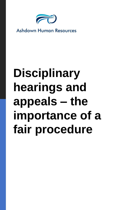

**Ashdown Human Resources** 

# **Disciplinary hearings and appeals – the importance of a fair procedure**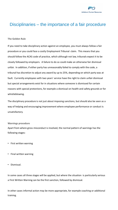

# Disciplinaries – the importance of a fair procedure

## **The Golden Rule**

If you need to take disciplinary action against an employee, you must always follow a fair procedure or you could face a costly Employment Tribunal claim. This means that you should follow the ACAS code of practice, which although not law, tribunals expect it to be closely followed by employers. A failure to do so could make an otherwise fair dismissal unfair. In addition, if either party has unreasonably failed to comply with the code, a tribunal has discretion to adjust any award by up to 25%, depending on which party was at fault. Currently employees with two years' service have the right to claim unfair dismissal but special arrangements exist for in situations where someone is dismissed for certain reasons with special protections, for example a dismissal on health and safety grounds or for whistleblowing.

The disciplinary procedure is not just about imposing sanctions, but should also be seen as a way of helping and encouraging improvement where employee performance or conduct is unsatisfactory.

#### **Warnings procedure**

Apart from where gross misconduct is involved, the normal pattern of warnings has the following stages:

- First written warning
- Final written warning
- Dismissal.

In some cases all three stages will be applied, but where the situation is particularly serious a First Written Warning can be the first sanction, followed by dismissal.

In other cases informal action may be more appropriate, for example coaching or additional training.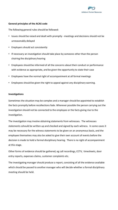

# **General principles of the ACAS code**

The following general rules should be followed:

- Issues should be raised and dealt with promptly meetings and decisions should not be unreasonably delayed
- Employers should act consistently
- If necessary an investigation should take place by someone other than the person chairing the disciplinary hearing
- Employees should be informed of all the concerns about their conduct or performance with evidence as appropriate, and be given the opportunity to state their case
- Employees have the normal right of accompaniment at all formal meetings
- Employees should be given the right to appeal against any disciplinary warning.

## **Investigations**

Sometimes the situation may be complex and a manager should be appointed to establish the facts promptly before recollections fade. Wherever possible the person carrying out the investigation should not be connected to the employee or the facts giving rise to the investigation.

The investigation may involve obtaining statements from witnesses. The witnesses statements sshould be written up and checked and signed by each witness. In some cases it may be necessary for the witness statements to be given on an anonymous basis, and the employee themselves may also be asked to give their own account of events before the decision is made to hold a formal disciplinary hearing. There is no right of accompaniment at this stage.

Other forms of evidence should be gathered, eg call recordings, CCTV, timesheets, door entry reports, expenses claims, customer complaints etc.

The investigating manager should produce a report, consisting of all the evidence available which should be passed to another manager who will decide whether a formal disciplinary meeting should be held.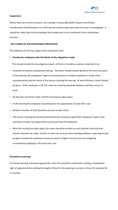

#### **Suspension**

Where there are serious concerns, for example a reasonable belief of gross misconduct, consideration should be given to a brief period of paid suspension while the case is investigated. It should be made clear to the employee that suspension is not considered to be a disciplinary sanction.

#### **KEY STAGES OF THE DISCIPLINARY PROCEDURE**

The following are the key stages of the procedure itself.

#### • **Provide the employee with full details of the allegations made**

This should include the investigation report, all forms of evidence, witness statements etc

- Invitation to attend a disciplinary hearing the letter should contain details of the time and place of the hearing, the employee's right of accompaniment (a fellow employee or trade union representative) and the name of the person chairing the hearing. At least 48 hours' notice should be given. If the employee is off sick, then the meeting should be delayed until they return to work.
- No decision should be made until the hearing has taken place
- At the hearing the employee should be given the opportunity to state their case
- Another member of staff should be present to take notes.
- The person chairing the meeting should hold the meeting in good faith, keeping an open mind and fairly consider any explanations put forward by the employee.
- After the hearing has taken place the notes should be written up and checked, and only then should a decision be made. Factors to take into account when deciding whether a warning should be given include the employee's previous record, length of service and any mitigating circumstances applying in the particular case.

#### **Disciplinary warnings**

If a formal warning is deemed appropriate, then this should be confirmed in writing, including the right of appeal and also stating the length of time for the warning to remain in force, for example for 12 months.